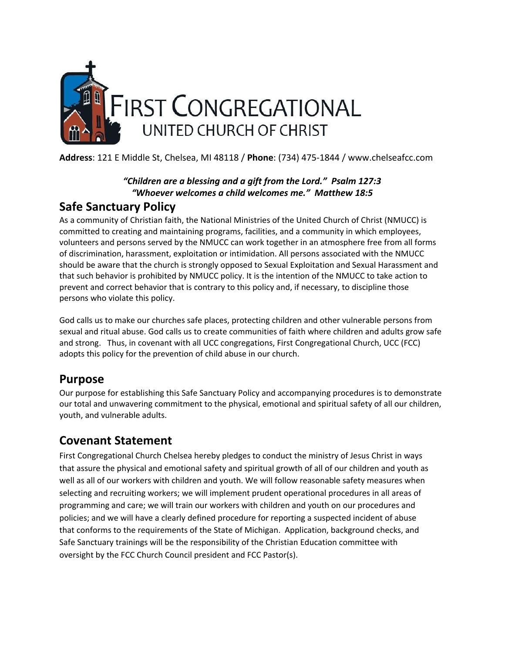

**Address**: 121 E Middle St, Chelsea, MI 48118 / **Phone**: (734) 475-1844 / www.chelseafcc.com

#### *"Children are a blessing and a gift from the Lord." Psalm 127:3 "Whoever welcomes a child welcomes me." Matthew 18:5*

## **Safe Sanctuary Policy**

As a community of Christian faith, the National Ministries of the United Church of Christ (NMUCC) is committed to creating and maintaining programs, facilities, and a community in which employees, volunteers and persons served by the NMUCC can work together in an atmosphere free from all forms of discrimination, harassment, exploitation or intimidation. All persons associated with the NMUCC should be aware that the church is strongly opposed to Sexual Exploitation and Sexual Harassment and that such behavior is prohibited by NMUCC policy. It is the intention of the NMUCC to take action to prevent and correct behavior that is contrary to this policy and, if necessary, to discipline those persons who violate this policy.

God calls us to make our churches safe places, protecting children and other vulnerable persons from sexual and ritual abuse. God calls us to create communities of faith where children and adults grow safe and strong. Thus, in covenant with all UCC congregations, First Congregational Church, UCC (FCC) adopts this policy for the prevention of child abuse in our church.

### **Purpose**

Our purpose for establishing this Safe Sanctuary Policy and accompanying procedures is to demonstrate our total and unwavering commitment to the physical, emotional and spiritual safety of all our children, youth, and vulnerable adults.

### **Covenant Statement**

First Congregational Church Chelsea hereby pledges to conduct the ministry of Jesus Christ in ways that assure the physical and emotional safety and spiritual growth of all of our children and youth as well as all of our workers with children and youth. We will follow reasonable safety measures when selecting and recruiting workers; we will implement prudent operational procedures in all areas of programming and care; we will train our workers with children and youth on our procedures and policies; and we will have a clearly defined procedure for reporting a suspected incident of abuse that conforms to the requirements of the State of Michigan. Application, background checks, and Safe Sanctuary trainings will be the responsibility of the Christian Education committee with oversight by the FCC Church Council president and FCC Pastor(s).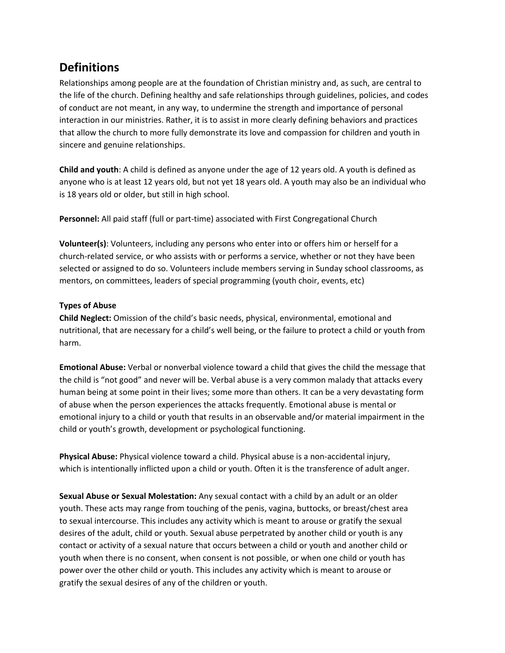## **Definitions**

Relationships among people are at the foundation of Christian ministry and, as such, are central to the life of the church. Defining healthy and safe relationships through guidelines, policies, and codes of conduct are not meant, in any way, to undermine the strength and importance of personal interaction in our ministries. Rather, it is to assist in more clearly defining behaviors and practices that allow the church to more fully demonstrate its love and compassion for children and youth in sincere and genuine relationships.

**Child and youth**: A child is defined as anyone under the age of 12 years old. A youth is defined as anyone who is at least 12 years old, but not yet 18 years old. A youth may also be an individual who is 18 years old or older, but still in high school.

**Personnel:** All paid staff (full or part-time) associated with First Congregational Church

**Volunteer(s)**: Volunteers, including any persons who enter into or offers him or herself for a church-related service, or who assists with or performs a service, whether or not they have been selected or assigned to do so. Volunteers include members serving in Sunday school classrooms, as mentors, on committees, leaders of special programming (youth choir, events, etc)

#### **Types of Abuse**

**Child Neglect:** Omission of the child's basic needs, physical, environmental, emotional and nutritional, that are necessary for a child's well being, or the failure to protect a child or youth from harm.

**Emotional Abuse:** Verbal or nonverbal violence toward a child that gives the child the message that the child is "not good" and never will be. Verbal abuse is a very common malady that attacks every human being at some point in their lives; some more than others. It can be a very devastating form of abuse when the person experiences the attacks frequently. Emotional abuse is mental or emotional injury to a child or youth that results in an observable and/or material impairment in the child or youth's growth, development or psychological functioning.

**Physical Abuse:** Physical violence toward a child. Physical abuse is a non-accidental injury, which is intentionally inflicted upon a child or youth. Often it is the transference of adult anger.

**Sexual Abuse or Sexual Molestation:** Any sexual contact with a child by an adult or an older youth. These acts may range from touching of the penis, vagina, buttocks, or breast/chest area to sexual intercourse. This includes any activity which is meant to arouse or gratify the sexual desires of the adult, child or youth. Sexual abuse perpetrated by another child or youth is any contact or activity of a sexual nature that occurs between a child or youth and another child or youth when there is no consent, when consent is not possible, or when one child or youth has power over the other child or youth. This includes any activity which is meant to arouse or gratify the sexual desires of any of the children or youth.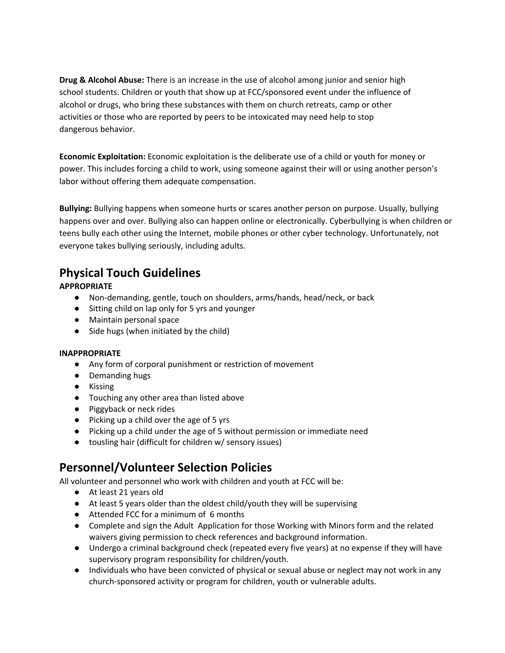**Drug & Alcohol Abuse:** There is an increase in the use of alcohol among junior and senior high school students. Children or youth that show up at FCC/sponsored event under the influence of alcohol or drugs, who bring these substances with them on church retreats, camp or other activities or those who are reported by peers to be intoxicated may need help to stop dangerous behavior.

**Economic Exploitation:** Economic exploitation is the deliberate use of a child or youth for money or power. This includes forcing a child to work, using someone against their will or using another person's labor without offering them adequate compensation.

**Bullying:** Bullying happens when someone hurts or scares another person on purpose. Usually, bullying happens over and over. Bullying also can happen online or electronically. Cyberbullying is when children or teens bully each other using the Internet, mobile phones or other cyber technology. Unfortunately, not everyone takes bullying seriously, including adults.

## **Physical Touch Guidelines**

#### **APPROPRIATE**

- Non-demanding, gentle, touch on shoulders, arms/hands, head/neck, or back
- Sitting child on lap only for 5 yrs and younger
- Maintain personal space
- Side hugs (when initiated by the child)

#### **INAPPROPRIATE**

- Any form of corporal punishment or restriction of movement
- Demanding hugs
- Kissing
- Touching any other area than listed above
- Piggyback or neck rides
- Picking up a child over the age of 5 yrs
- Picking up a child under the age of 5 without permission or immediate need
- tousling hair (difficult for children w/ sensory issues)

### **Personnel/Volunteer Selection Policies**

All volunteer and personnel who work with children and youth at FCC will be:

- At least 21 years old
- At least 5 years older than the oldest child/youth they will be supervising
- Attended FCC for a minimum of 6 months
- Complete and sign the Adult Application for those Working with Minors form and the related waivers giving permission to check references and background information.
- Undergo a criminal background check (repeated every five years) at no expense if they will have supervisory program responsibility for children/youth.
- Individuals who have been convicted of physical or sexual abuse or neglect may not work in any church-sponsored activity or program for children, youth or vulnerable adults.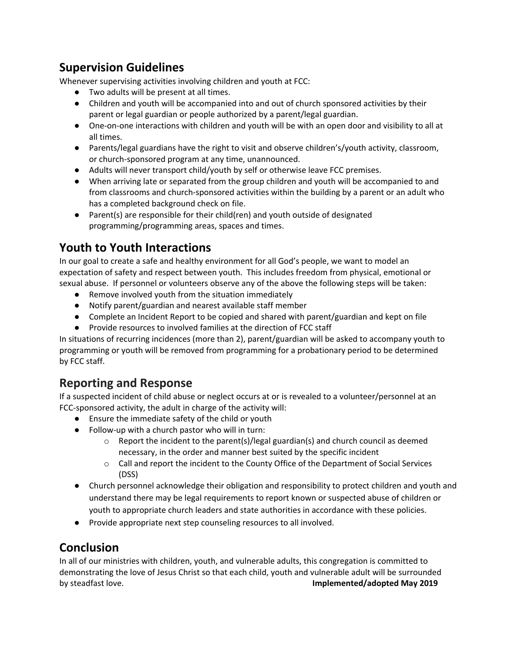## **Supervision Guidelines**

Whenever supervising activities involving children and youth at FCC:

- Two adults will be present at all times.
- Children and youth will be accompanied into and out of church sponsored activities by their parent or legal guardian or people authorized by a parent/legal guardian.
- One-on-one interactions with children and youth will be with an open door and visibility to all at all times.
- Parents/legal guardians have the right to visit and observe children's/youth activity, classroom, or church-sponsored program at any time, unannounced.
- Adults will never transport child/youth by self or otherwise leave FCC premises.
- When arriving late or separated from the group children and youth will be accompanied to and from classrooms and church-sponsored activities within the building by a parent or an adult who has a completed background check on file.
- Parent(s) are responsible for their child(ren) and youth outside of designated programming/programming areas, spaces and times.

## **Youth to Youth Interactions**

In our goal to create a safe and healthy environment for all God's people, we want to model an expectation of safety and respect between youth. This includes freedom from physical, emotional or sexual abuse. If personnel or volunteers observe any of the above the following steps will be taken:

- Remove involved youth from the situation immediately
- Notify parent/guardian and nearest available staff member
- Complete an Incident Report to be copied and shared with parent/guardian and kept on file
- Provide resources to involved families at the direction of FCC staff

In situations of recurring incidences (more than 2), parent/guardian will be asked to accompany youth to programming or youth will be removed from programming for a probationary period to be determined by FCC staff.

### **Reporting and Response**

If a suspected incident of child abuse or neglect occurs at or is revealed to a volunteer/personnel at an FCC-sponsored activity, the adult in charge of the activity will:

- Ensure the immediate safety of the child or youth
- Follow-up with a church pastor who will in turn:
	- $\circ$  Report the incident to the parent(s)/legal guardian(s) and church council as deemed necessary, in the order and manner best suited by the specific incident
	- $\circ$  Call and report the incident to the County Office of the Department of Social Services (DSS)
- Church personnel acknowledge their obligation and responsibility to protect children and youth and understand there may be legal requirements to report known or suspected abuse of children or youth to appropriate church leaders and state authorities in accordance with these policies.
- Provide appropriate next step counseling resources to all involved.

## **Conclusion**

In all of our ministries with children, youth, and vulnerable adults, this congregation is committed to demonstrating the love of Jesus Christ so that each child, youth and vulnerable adult will be surrounded by steadfast love. **Implemented/adopted May 2019**